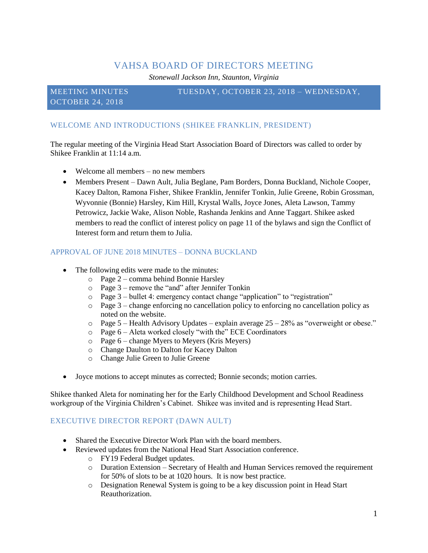# VAHSA BOARD OF DIRECTORS MEETING

*Stonewall Jackson Inn, Staunton, Virginia*

OCTOBER 24, 2018

#### MEETING MINUTES TUESDAY, OCTOBER 23, 2018 – WEDNESDAY,

## WELCOME AND INTRODUCTIONS (SHIKEE FRANKLIN, PRESIDENT)

The regular meeting of the Virginia Head Start Association Board of Directors was called to order by Shikee Franklin at 11:14 a.m.

- Welcome all members no new members
- Members Present Dawn Ault, Julia Beglane, Pam Borders, Donna Buckland, Nichole Cooper, Kacey Dalton, Ramona Fisher, Shikee Franklin, Jennifer Tonkin, Julie Greene, Robin Grossman, Wyvonnie (Bonnie) Harsley, Kim Hill, Krystal Walls, Joyce Jones, Aleta Lawson, Tammy Petrowicz, Jackie Wake, Alison Noble, Rashanda Jenkins and Anne Taggart. Shikee asked members to read the conflict of interest policy on page 11 of the bylaws and sign the Conflict of Interest form and return them to Julia.

### APPROVAL OF JUNE 2018 MINUTES – DONNA BUCKLAND

- The following edits were made to the minutes:
	- o Page 2 comma behind Bonnie Harsley
	- $\circ$  Page 3 remove the "and" after Jennifer Tonkin
	- $\circ$  Page 3 bullet 4: emergency contact change "application" to "registration"
	- $\circ$  Page 3 change enforcing no cancellation policy to enforcing no cancellation policy as noted on the website.
	- $\circ$  Page 5 Health Advisory Updates explain average 25 28% as "overweight or obese."
	- o Page 6 Aleta worked closely "with the" ECE Coordinators
	- o Page 6 change Myers to Meyers (Kris Meyers)
	- o Change Daulton to Dalton for Kacey Dalton
	- o Change Julie Green to Julie Greene
- Joyce motions to accept minutes as corrected; Bonnie seconds; motion carries.

Shikee thanked Aleta for nominating her for the Early Childhood Development and School Readiness workgroup of the Virginia Children's Cabinet. Shikee was invited and is representing Head Start.

#### EXECUTIVE DIRECTOR REPORT (DAWN AULT)

- Shared the Executive Director Work Plan with the board members.
- Reviewed updates from the National Head Start Association conference.
	- o FY19 Federal Budget updates.
		- o Duration Extension Secretary of Health and Human Services removed the requirement for 50% of slots to be at 1020 hours. It is now best practice.
		- o Designation Renewal System is going to be a key discussion point in Head Start Reauthorization.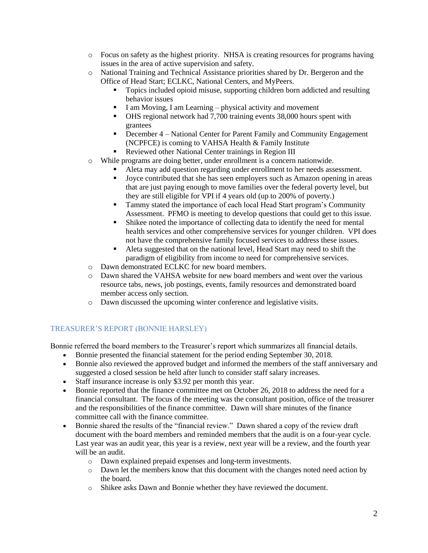- o Focus on safety as the highest priority. NHSA is creating resources for programs having issues in the area of active supervision and safety.
- o National Training and Technical Assistance priorities shared by Dr. Bergeron and the Office of Head Start; ECLKC, National Centers, and MyPeers.
	- Topics included opioid misuse, supporting children born addicted and resulting behavior issues
	- I am Moving, I am Learning physical activity and movement
	- OHS regional network had 7,700 training events 38,000 hours spent with grantees
	- December 4 National Center for Parent Family and Community Engagement (NCPFCE) is coming to VAHSA Health & Family Institute
	- Reviewed other National Center trainings in Region III
- o While programs are doing better, under enrollment is a concern nationwide.
	- Aleta may add question regarding under enrollment to her needs assessment.
	- Joyce contributed that she has seen employers such as Amazon opening in areas that are just paying enough to move families over the federal poverty level, but they are still eligible for VPI if 4 years old (up to 200% of poverty.)
	- Tammy stated the importance of each local Head Start program's Community Assessment. PFMO is meeting to develop questions that could get to this issue.
	- Shikee noted the importance of collecting data to identify the need for mental health services and other comprehensive services for younger children. VPI does not have the comprehensive family focused services to address these issues.
	- Aleta suggested that on the national level, Head Start may need to shift the paradigm of eligibility from income to need for comprehensive services.
- o Dawn demonstrated ECLKC for new board members.
- o Dawn shared the VAHSA website for new board members and went over the various resource tabs, news, job postings, events, family resources and demonstrated board member access only section.
- o Dawn discussed the upcoming winter conference and legislative visits.

# TREASURER'S REPORT (BONNIE HARSLEY)

Bonnie referred the board members to the Treasurer's report which summarizes all financial details.

- Bonnie presented the financial statement for the period ending September 30, 2018.
- Bonnie also reviewed the approved budget and informed the members of the staff anniversary and suggested a closed session be held after lunch to consider staff salary increases.
- Staff insurance increase is only \$3.92 per month this year.
- Bonnie reported that the finance committee met on October 26, 2018 to address the need for a financial consultant. The focus of the meeting was the consultant position, office of the treasurer and the responsibilities of the finance committee. Dawn will share minutes of the finance committee call with the finance committee.
- Bonnie shared the results of the "financial review." Dawn shared a copy of the review draft document with the board members and reminded members that the audit is on a four-year cycle. Last year was an audit year, this year is a review, next year will be a review, and the fourth year will be an audit.
	- o Dawn explained prepaid expenses and long-term investments.
	- o Dawn let the members know that this document with the changes noted need action by the board.
	- o Shikee asks Dawn and Bonnie whether they have reviewed the document.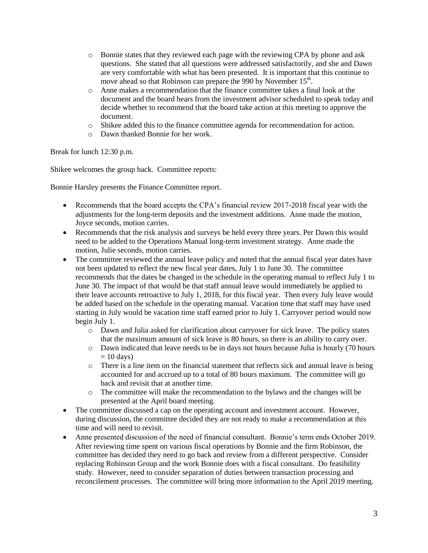- o Bonnie states that they reviewed each page with the reviewing CPA by phone and ask questions. She stated that all questions were addressed satisfactorily, and she and Dawn are very comfortable with what has been presented. It is important that this continue to move ahead so that Robinson can prepare the 990 by November 15<sup>th</sup>.
- o Anne makes a recommendation that the finance committee takes a final look at the document and the board hears from the investment advisor scheduled to speak today and decide whether to recommend that the board take action at this meeting to approve the document.
- o Shikee added this to the finance committee agenda for recommendation for action.
- o Dawn thanked Bonnie for her work.

Break for lunch 12:30 p.m.

Shikee welcomes the group back. Committee reports:

Bonnie Harsley presents the Finance Committee report.

- Recommends that the board accepts the CPA's financial review 2017-2018 fiscal year with the adjustments for the long-term deposits and the investment additions. Anne made the motion, Joyce seconds, motion carries.
- Recommends that the risk analysis and surveys be held every three years. Per Dawn this would need to be added to the Operations Manual long-term investment strategy. Anne made the motion, Julie seconds, motion carries.
- The committee reviewed the annual leave policy and noted that the annual fiscal year dates have not been updated to reflect the new fiscal year dates, July 1 to June 30. The committee recommends that the dates be changed in the schedule in the operating manual to reflect July 1 to June 30. The impact of that would be that staff annual leave would immediately be applied to their leave accounts retroactive to July 1, 2018, for this fiscal year. Then every July leave would be added based on the schedule in the operating manual. Vacation time that staff may have used starting in July would be vacation time staff earned prior to July 1. Carryover period would now begin July 1.
	- o Dawn and Julia asked for clarification about carryover for sick leave. The policy states that the maximum amount of sick leave is 80 hours, so there is an ability to carry over.
	- o Dawn indicated that leave needs to be in days not hours because Julia is hourly (70 hours  $= 10$  days)
	- $\circ$  There is a line item on the financial statement that reflects sick and annual leave is being accounted for and accrued up to a total of 80 hours maximum. The committee will go back and revisit that at another time.
	- o The committee will make the recommendation to the bylaws and the changes will be presented at the April board meeting.
- The committee discussed a cap on the operating account and investment account. However, during discussion, the committee decided they are not ready to make a recommendation at this time and will need to revisit.
- Anne presented discussion of the need of financial consultant. Bonnie's term ends October 2019. After reviewing time spent on various fiscal operations by Bonnie and the firm Robinson, the committee has decided they need to go back and review from a different perspective. Consider replacing Robinson Group and the work Bonnie does with a fiscal consultant. Do feasibility study. However, need to consider separation of duties between transaction processing and reconcilement processes. The committee will bring more information to the April 2019 meeting.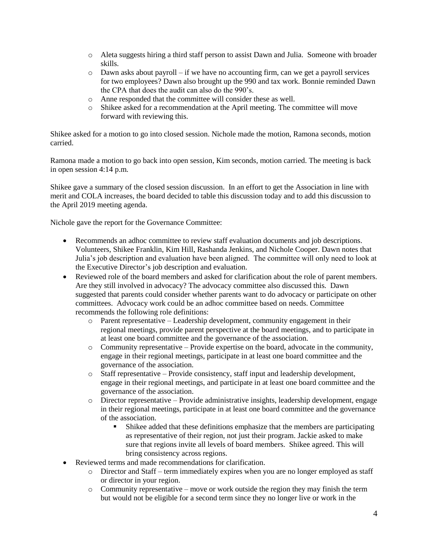- o Aleta suggests hiring a third staff person to assist Dawn and Julia. Someone with broader skills.
- o Dawn asks about payroll if we have no accounting firm, can we get a payroll services for two employees? Dawn also brought up the 990 and tax work. Bonnie reminded Dawn the CPA that does the audit can also do the 990's.
- o Anne responded that the committee will consider these as well.
- o Shikee asked for a recommendation at the April meeting. The committee will move forward with reviewing this.

Shikee asked for a motion to go into closed session. Nichole made the motion, Ramona seconds, motion carried.

Ramona made a motion to go back into open session, Kim seconds, motion carried. The meeting is back in open session 4:14 p.m.

Shikee gave a summary of the closed session discussion. In an effort to get the Association in line with merit and COLA increases, the board decided to table this discussion today and to add this discussion to the April 2019 meeting agenda.

Nichole gave the report for the Governance Committee:

- Recommends an adhoc committee to review staff evaluation documents and job descriptions. Volunteers, Shikee Franklin, Kim Hill, Rashanda Jenkins, and Nichole Cooper. Dawn notes that Julia's job description and evaluation have been aligned. The committee will only need to look at the Executive Director's job description and evaluation.
- Reviewed role of the board members and asked for clarification about the role of parent members. Are they still involved in advocacy? The advocacy committee also discussed this. Dawn suggested that parents could consider whether parents want to do advocacy or participate on other committees. Advocacy work could be an adhoc committee based on needs. Committee recommends the following role definitions:
	- $\circ$  Parent representative Leadership development, community engagement in their regional meetings, provide parent perspective at the board meetings, and to participate in at least one board committee and the governance of the association.
	- $\circ$  Community representative Provide expertise on the board, advocate in the community, engage in their regional meetings, participate in at least one board committee and the governance of the association.
	- o Staff representative Provide consistency, staff input and leadership development, engage in their regional meetings, and participate in at least one board committee and the governance of the association.
	- o Director representative Provide administrative insights, leadership development, engage in their regional meetings, participate in at least one board committee and the governance of the association.
		- Shikee added that these definitions emphasize that the members are participating as representative of their region, not just their program. Jackie asked to make sure that regions invite all levels of board members. Shikee agreed. This will bring consistency across regions.
- Reviewed terms and made recommendations for clarification.
	- o Director and Staff term immediately expires when you are no longer employed as staff or director in your region.
	- $\circ$  Community representative move or work outside the region they may finish the term but would not be eligible for a second term since they no longer live or work in the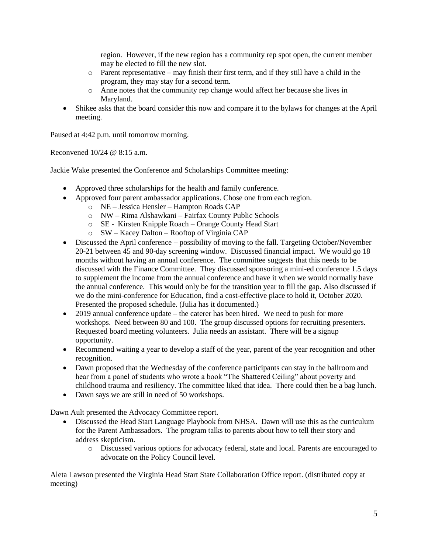region. However, if the new region has a community rep spot open, the current member may be elected to fill the new slot.

- o Parent representative may finish their first term, and if they still have a child in the program, they may stay for a second term.
- o Anne notes that the community rep change would affect her because she lives in Maryland.
- Shikee asks that the board consider this now and compare it to the bylaws for changes at the April meeting.

Paused at 4:42 p.m. until tomorrow morning.

Reconvened 10/24 @ 8:15 a.m.

Jackie Wake presented the Conference and Scholarships Committee meeting:

- Approved three scholarships for the health and family conference.
- Approved four parent ambassador applications. Chose one from each region.
	- o NE Jessica Hensler Hampton Roads CAP
	- o NW Rima Alshawkani Fairfax County Public Schools
	- o SE Kirsten Knipple Roach Orange County Head Start
	- o SW Kacey Dalton Rooftop of Virginia CAP
- Discussed the April conference possibility of moving to the fall. Targeting October/November 20-21 between 45 and 90-day screening window. Discussed financial impact. We would go 18 months without having an annual conference. The committee suggests that this needs to be discussed with the Finance Committee. They discussed sponsoring a mini-ed conference 1.5 days to supplement the income from the annual conference and have it when we would normally have the annual conference. This would only be for the transition year to fill the gap. Also discussed if we do the mini-conference for Education, find a cost-effective place to hold it, October 2020. Presented the proposed schedule. (Julia has it documented.)
- 2019 annual conference update the caterer has been hired. We need to push for more workshops. Need between 80 and 100. The group discussed options for recruiting presenters. Requested board meeting volunteers. Julia needs an assistant. There will be a signup opportunity.
- Recommend waiting a year to develop a staff of the year, parent of the year recognition and other recognition.
- Dawn proposed that the Wednesday of the conference participants can stay in the ballroom and hear from a panel of students who wrote a book "The Shattered Ceiling" about poverty and childhood trauma and resiliency. The committee liked that idea. There could then be a bag lunch.
- Dawn says we are still in need of 50 workshops.

Dawn Ault presented the Advocacy Committee report.

- Discussed the Head Start Language Playbook from NHSA. Dawn will use this as the curriculum for the Parent Ambassadors. The program talks to parents about how to tell their story and address skepticism.
	- o Discussed various options for advocacy federal, state and local. Parents are encouraged to advocate on the Policy Council level.

Aleta Lawson presented the Virginia Head Start State Collaboration Office report. (distributed copy at meeting)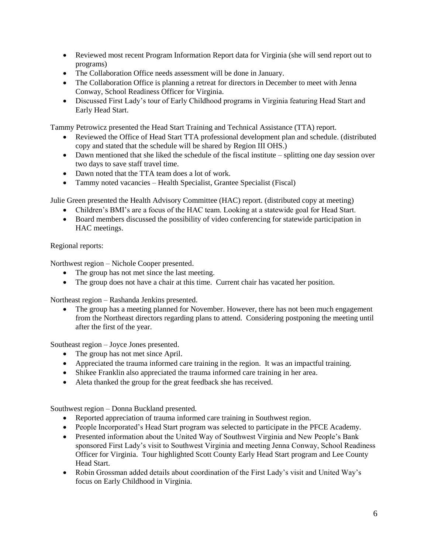- Reviewed most recent Program Information Report data for Virginia (she will send report out to programs)
- The Collaboration Office needs assessment will be done in January.
- The Collaboration Office is planning a retreat for directors in December to meet with Jenna Conway, School Readiness Officer for Virginia.
- Discussed First Lady's tour of Early Childhood programs in Virginia featuring Head Start and Early Head Start.

Tammy Petrowicz presented the Head Start Training and Technical Assistance (TTA) report.

- Reviewed the Office of Head Start TTA professional development plan and schedule. (distributed copy and stated that the schedule will be shared by Region III OHS.)
- Dawn mentioned that she liked the schedule of the fiscal institute splitting one day session over two days to save staff travel time.
- Dawn noted that the TTA team does a lot of work.
- Tammy noted vacancies Health Specialist, Grantee Specialist (Fiscal)

Julie Green presented the Health Advisory Committee (HAC) report. (distributed copy at meeting)

- Children's BMI's are a focus of the HAC team. Looking at a statewide goal for Head Start.
- Board members discussed the possibility of video conferencing for statewide participation in HAC meetings.

### Regional reports:

Northwest region – Nichole Cooper presented.

- The group has not met since the last meeting.
- The group does not have a chair at this time. Current chair has vacated her position.

Northeast region – Rashanda Jenkins presented.

 The group has a meeting planned for November. However, there has not been much engagement from the Northeast directors regarding plans to attend. Considering postponing the meeting until after the first of the year.

Southeast region – Joyce Jones presented.

- The group has not met since April.
- Appreciated the trauma informed care training in the region. It was an impactful training.
- Shikee Franklin also appreciated the trauma informed care training in her area.
- Aleta thanked the group for the great feedback she has received.

Southwest region – Donna Buckland presented.

- Reported appreciation of trauma informed care training in Southwest region.
- People Incorporated's Head Start program was selected to participate in the PFCE Academy.
- Presented information about the United Way of Southwest Virginia and New People's Bank sponsored First Lady's visit to Southwest Virginia and meeting Jenna Conway, School Readiness Officer for Virginia. Tour highlighted Scott County Early Head Start program and Lee County Head Start.
- Robin Grossman added details about coordination of the First Lady's visit and United Way's focus on Early Childhood in Virginia.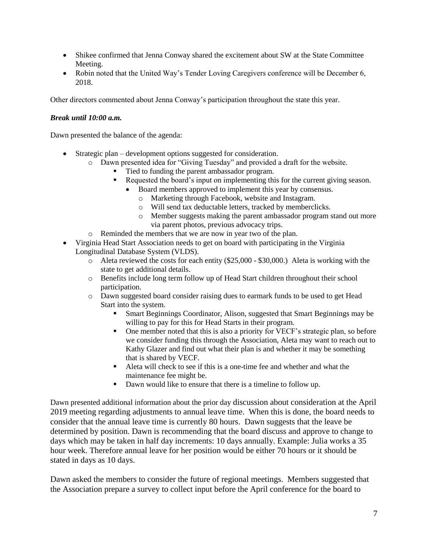- Shikee confirmed that Jenna Conway shared the excitement about SW at the State Committee Meeting.
- Robin noted that the United Way's Tender Loving Caregivers conference will be December 6, 2018.

Other directors commented about Jenna Conway's participation throughout the state this year.

#### *Break until 10:00 a.m.*

Dawn presented the balance of the agenda:

- Strategic plan development options suggested for consideration.
	- o Dawn presented idea for "Giving Tuesday" and provided a draft for the website.
		- Tied to funding the parent ambassador program.
		- Requested the board's input on implementing this for the current giving season.
			- Board members approved to implement this year by consensus.
				- o Marketing through Facebook, website and Instagram.
				- o Will send tax deductable letters, tracked by memberclicks.
				- o Member suggests making the parent ambassador program stand out more via parent photos, previous advocacy trips.
	- o Reminded the members that we are now in year two of the plan.
- Virginia Head Start Association needs to get on board with participating in the Virginia Longitudinal Database System (VLDS).
	- o Aleta reviewed the costs for each entity (\$25,000 \$30,000.) Aleta is working with the state to get additional details.
	- o Benefits include long term follow up of Head Start children throughout their school participation.
	- o Dawn suggested board consider raising dues to earmark funds to be used to get Head Start into the system.
		- Smart Beginnings Coordinator, Alison, suggested that Smart Beginnings may be willing to pay for this for Head Starts in their program.
		- One member noted that this is also a priority for VECF's strategic plan, so before we consider funding this through the Association, Aleta may want to reach out to Kathy Glazer and find out what their plan is and whether it may be something that is shared by VECF.
		- Aleta will check to see if this is a one-time fee and whether and what the maintenance fee might be.
		- Dawn would like to ensure that there is a timeline to follow up.

Dawn presented additional information about the prior day discussion about consideration at the April 2019 meeting regarding adjustments to annual leave time. When this is done, the board needs to consider that the annual leave time is currently 80 hours. Dawn suggests that the leave be determined by position. Dawn is recommending that the board discuss and approve to change to days which may be taken in half day increments: 10 days annually. Example: Julia works a 35 hour week. Therefore annual leave for her position would be either 70 hours or it should be stated in days as 10 days.

Dawn asked the members to consider the future of regional meetings. Members suggested that the Association prepare a survey to collect input before the April conference for the board to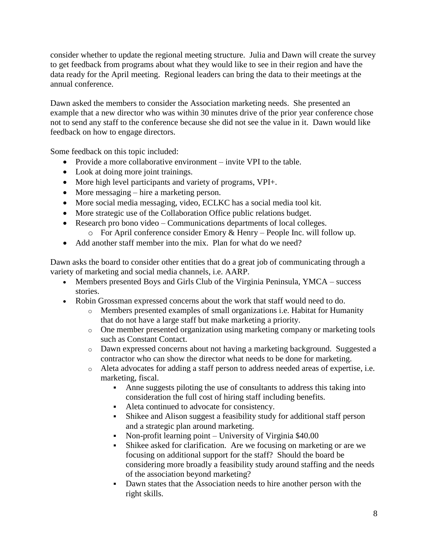consider whether to update the regional meeting structure. Julia and Dawn will create the survey to get feedback from programs about what they would like to see in their region and have the data ready for the April meeting. Regional leaders can bring the data to their meetings at the annual conference.

Dawn asked the members to consider the Association marketing needs. She presented an example that a new director who was within 30 minutes drive of the prior year conference chose not to send any staff to the conference because she did not see the value in it. Dawn would like feedback on how to engage directors.

Some feedback on this topic included:

- Provide a more collaborative environment invite VPI to the table.
- Look at doing more joint trainings.
- More high level participants and variety of programs, VPI+.
- More messaging hire a marketing person.
- More social media messaging, video, ECLKC has a social media tool kit.
- More strategic use of the Collaboration Office public relations budget.
- Research pro bono video Communications departments of local colleges.
	- o For April conference consider Emory & Henry People Inc. will follow up.
- Add another staff member into the mix. Plan for what do we need?

Dawn asks the board to consider other entities that do a great job of communicating through a variety of marketing and social media channels, i.e. AARP.

- Members presented Boys and Girls Club of the Virginia Peninsula, YMCA success stories.
- Robin Grossman expressed concerns about the work that staff would need to do.
	- o Members presented examples of small organizations i.e. Habitat for Humanity that do not have a large staff but make marketing a priority.
	- o One member presented organization using marketing company or marketing tools such as Constant Contact.
	- o Dawn expressed concerns about not having a marketing background. Suggested a contractor who can show the director what needs to be done for marketing.
	- o Aleta advocates for adding a staff person to address needed areas of expertise, i.e. marketing, fiscal.
		- Anne suggests piloting the use of consultants to address this taking into consideration the full cost of hiring staff including benefits.
		- Aleta continued to advocate for consistency.
		- Shikee and Alison suggest a feasibility study for additional staff person and a strategic plan around marketing.
		- Non-profit learning point University of Virginia \$40.00
		- Shikee asked for clarification. Are we focusing on marketing or are we focusing on additional support for the staff? Should the board be considering more broadly a feasibility study around staffing and the needs of the association beyond marketing?
		- Dawn states that the Association needs to hire another person with the right skills.